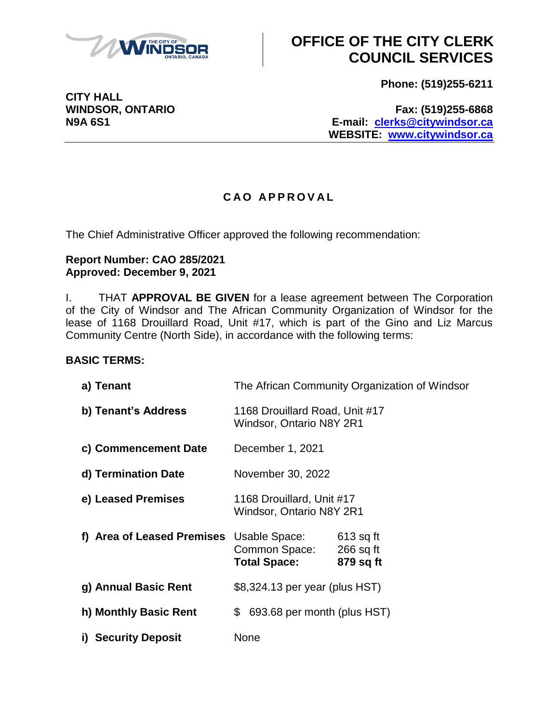

**Phone: (519)255-6211**

**WINDSOR, ONTARIO Fax: (519)255-6868 N9A 6S1 E-mail: [clerks@citywindsor.ca](mailto:clerks@citywindsor.ca) WEBSITE: [www.citywindsor.ca](http://www.citywindsor.ca/)**

#### **C A O A P P R O V A L**

The Chief Administrative Officer approved the following recommendation:

#### **Report Number: CAO 285/2021 Approved: December 9, 2021**

I. THAT **APPROVAL BE GIVEN** for a lease agreement between The Corporation of the City of Windsor and The African Community Organization of Windsor for the lease of 1168 Drouillard Road, Unit #17, which is part of the Gino and Liz Marcus Community Centre (North Side), in accordance with the following terms:

#### **BASIC TERMS:**

| a) Tenant                  | The African Community Organization of Windsor                |                                         |
|----------------------------|--------------------------------------------------------------|-----------------------------------------|
| b) Tenant's Address        | 1168 Drouillard Road, Unit #17<br>Windsor, Ontario N8Y 2R1   |                                         |
| c) Commencement Date       | December 1, 2021                                             |                                         |
| d) Termination Date        | November 30, 2022                                            |                                         |
| e) Leased Premises         | 1168 Drouillard, Unit #17<br><b>Windsor, Ontario N8Y 2R1</b> |                                         |
| f) Area of Leased Premises | Usable Space:<br>Common Space:<br><b>Total Space:</b>        | $613$ sq ft<br>$266$ sq ft<br>879 sq ft |
| g) Annual Basic Rent       | \$8,324.13 per year (plus HST)                               |                                         |
| h) Monthly Basic Rent      | 693.68 per month (plus HST)<br>\$                            |                                         |
| i) Security Deposit        | None                                                         |                                         |

**CITY HALL**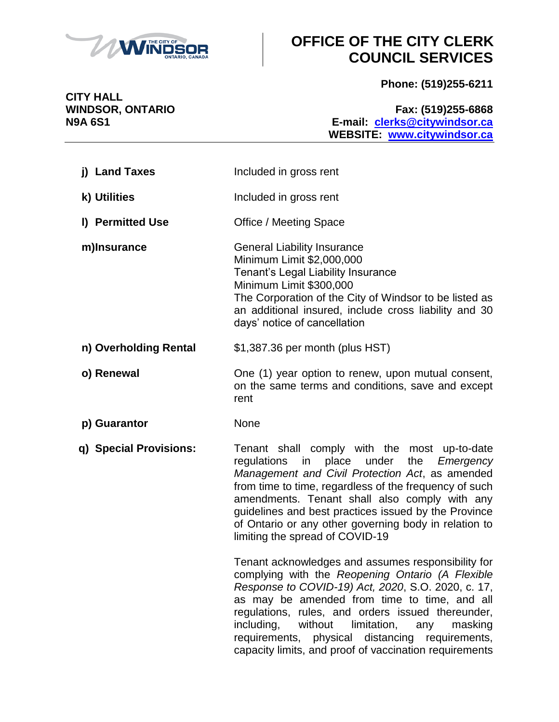

**Phone: (519)255-6211**

**CITY HALL**

#### **WINDSOR, ONTARIO Fax: (519)255-6868 N9A 6S1 E-mail: [clerks@citywindsor.ca](mailto:clerks@citywindsor.ca) WEBSITE: [www.citywindsor.ca](http://www.citywindsor.ca/)**

| j) Land Taxes          | Included in gross rent                                                                                                                                                                                                                                                                                                                                                                                                                   |  |
|------------------------|------------------------------------------------------------------------------------------------------------------------------------------------------------------------------------------------------------------------------------------------------------------------------------------------------------------------------------------------------------------------------------------------------------------------------------------|--|
| k) Utilities           | Included in gross rent                                                                                                                                                                                                                                                                                                                                                                                                                   |  |
| I) Permitted Use       | <b>Office / Meeting Space</b>                                                                                                                                                                                                                                                                                                                                                                                                            |  |
| m)Insurance            | <b>General Liability Insurance</b><br>Minimum Limit \$2,000,000<br>Tenant's Legal Liability Insurance<br>Minimum Limit \$300,000<br>The Corporation of the City of Windsor to be listed as<br>an additional insured, include cross liability and 30<br>days' notice of cancellation                                                                                                                                                      |  |
| n) Overholding Rental  | \$1,387.36 per month (plus HST)                                                                                                                                                                                                                                                                                                                                                                                                          |  |
| o) Renewal             | One (1) year option to renew, upon mutual consent,<br>on the same terms and conditions, save and except<br>rent                                                                                                                                                                                                                                                                                                                          |  |
| p) Guarantor           | None                                                                                                                                                                                                                                                                                                                                                                                                                                     |  |
| q) Special Provisions: | Tenant shall comply with the most up-to-date<br>regulations<br>in<br>place<br>under the<br>Emergency<br>Management and Civil Protection Act, as amended<br>from time to time, regardless of the frequency of such<br>amendments. Tenant shall also comply with any<br>guidelines and best practices issued by the Province<br>of Ontario or any other governing body in relation to<br>limiting the spread of COVID-19                   |  |
|                        | Tenant acknowledges and assumes responsibility for<br>complying with the Reopening Ontario (A Flexible<br>Response to COVID-19) Act, 2020, S.O. 2020, c. 17,<br>as may be amended from time to time, and all<br>regulations, rules, and orders issued thereunder,<br>without<br>including,<br>limitation,<br>any<br>masking<br>requirements, physical distancing requirements,<br>capacity limits, and proof of vaccination requirements |  |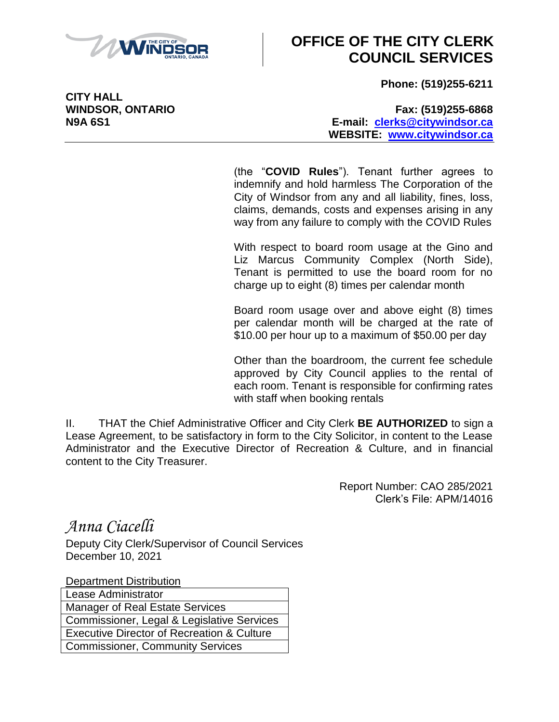

**Phone: (519)255-6211**

**WINDSOR, ONTARIO Fax: (519)255-6868 N9A 6S1 E-mail: [clerks@citywindsor.ca](mailto:clerks@citywindsor.ca) WEBSITE: [www.citywindsor.ca](http://www.citywindsor.ca/)**

> (the "**COVID Rules**"). Tenant further agrees to indemnify and hold harmless The Corporation of the City of Windsor from any and all liability, fines, loss, claims, demands, costs and expenses arising in any way from any failure to comply with the COVID Rules

> With respect to board room usage at the Gino and Liz Marcus Community Complex (North Side), Tenant is permitted to use the board room for no charge up to eight (8) times per calendar month

> Board room usage over and above eight (8) times per calendar month will be charged at the rate of \$10.00 per hour up to a maximum of \$50.00 per day

> Other than the boardroom, the current fee schedule approved by City Council applies to the rental of each room. Tenant is responsible for confirming rates with staff when booking rentals

II. THAT the Chief Administrative Officer and City Clerk **BE AUTHORIZED** to sign a Lease Agreement, to be satisfactory in form to the City Solicitor, in content to the Lease Administrator and the Executive Director of Recreation & Culture, and in financial content to the City Treasurer.

> Report Number: CAO 285/2021 Clerk's File: APM/14016

*Anna Ciacelli*

Deputy City Clerk/Supervisor of Council Services December 10, 2021

Department Distribution

Lease Administrator Manager of Real Estate Services Commissioner, Legal & Legislative Services Executive Director of Recreation & Culture Commissioner, Community Services

**CITY HALL**